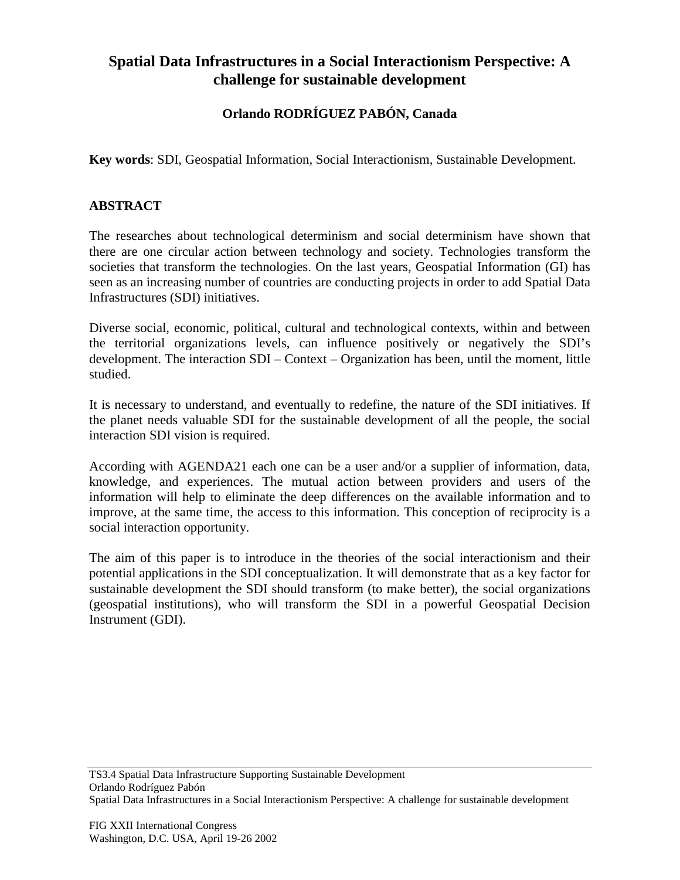## **Spatial Data Infrastructures in a Social Interactionism Perspective: A challenge for sustainable development**

## **Orlando RODRÍGUEZ PABÓN, Canada**

**Key words**: SDI, Geospatial Information, Social Interactionism, Sustainable Development.

## **ABSTRACT**

The researches about technological determinism and social determinism have shown that there are one circular action between technology and society. Technologies transform the societies that transform the technologies. On the last years, Geospatial Information (GI) has seen as an increasing number of countries are conducting projects in order to add Spatial Data Infrastructures (SDI) initiatives.

Diverse social, economic, political, cultural and technological contexts, within and between the territorial organizations levels, can influence positively or negatively the SDI's development. The interaction SDI – Context – Organization has been, until the moment, little studied.

It is necessary to understand, and eventually to redefine, the nature of the SDI initiatives. If the planet needs valuable SDI for the sustainable development of all the people, the social interaction SDI vision is required.

According with AGENDA21 each one can be a user and/or a supplier of information, data, knowledge, and experiences. The mutual action between providers and users of the information will help to eliminate the deep differences on the available information and to improve, at the same time, the access to this information. This conception of reciprocity is a social interaction opportunity.

The aim of this paper is to introduce in the theories of the social interactionism and their potential applications in the SDI conceptualization. It will demonstrate that as a key factor for sustainable development the SDI should transform (to make better), the social organizations (geospatial institutions), who will transform the SDI in a powerful Geospatial Decision Instrument (GDI).